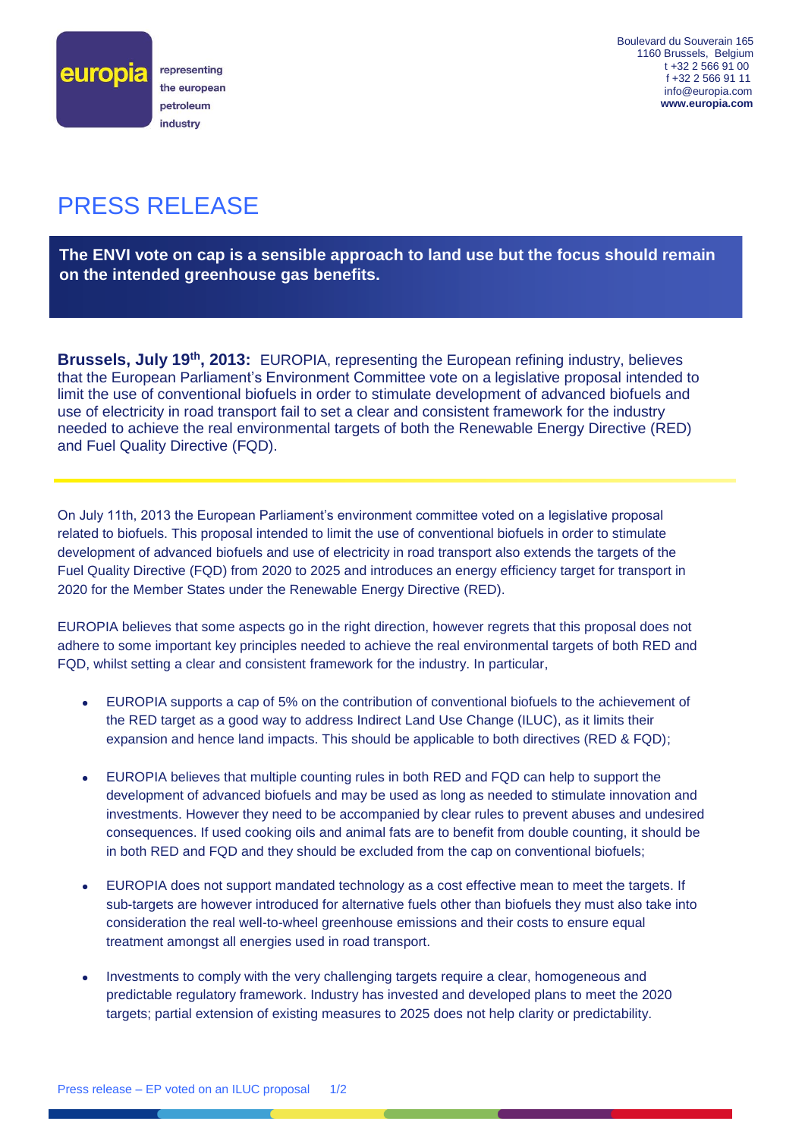

Boulevard du Souverain 165 1160 Brussels, Belgium t +32 2 566 91 00 f +32 2 566 91 11 info@europia.com  **www.europia.com**

## PRESS RELEASE

**The ENVI vote on cap is a sensible approach to land use but the focus should remain on the intended greenhouse gas benefits.**

Brussels, July 19<sup>th</sup>, 2013: EUROPIA, representing the European refining industry, believes that the European Parliament's Environment Committee vote on a legislative proposal intended to limit the use of conventional biofuels in order to stimulate development of advanced biofuels and use of electricity in road transport fail to set a clear and consistent framework for the industry needed to achieve the real environmental targets of both the Renewable Energy Directive (RED) and Fuel Quality Directive (FQD).

On July 11th, 2013 the European Parliament's environment committee voted on a legislative proposal related to biofuels. This proposal intended to limit the use of conventional biofuels in order to stimulate development of advanced biofuels and use of electricity in road transport also extends the targets of the Fuel Quality Directive (FQD) from 2020 to 2025 and introduces an energy efficiency target for transport in 2020 for the Member States under the Renewable Energy Directive (RED).

EUROPIA believes that some aspects go in the right direction, however regrets that this proposal does not adhere to some important key principles needed to achieve the real environmental targets of both RED and FQD, whilst setting a clear and consistent framework for the industry. In particular,

- EUROPIA supports a cap of 5% on the contribution of conventional biofuels to the achievement of the RED target as a good way to address Indirect Land Use Change (ILUC), as it limits their expansion and hence land impacts. This should be applicable to both directives (RED & FQD);
- EUROPIA believes that multiple counting rules in both RED and FQD can help to support the development of advanced biofuels and may be used as long as needed to stimulate innovation and investments. However they need to be accompanied by clear rules to prevent abuses and undesired consequences. If used cooking oils and animal fats are to benefit from double counting, it should be in both RED and FQD and they should be excluded from the cap on conventional biofuels;
- EUROPIA does not support mandated technology as a cost effective mean to meet the targets. If sub-targets are however introduced for alternative fuels other than biofuels they must also take into consideration the real well-to-wheel greenhouse emissions and their costs to ensure equal treatment amongst all energies used in road transport.
- Investments to comply with the very challenging targets require a clear, homogeneous and predictable regulatory framework. Industry has invested and developed plans to meet the 2020 targets; partial extension of existing measures to 2025 does not help clarity or predictability.